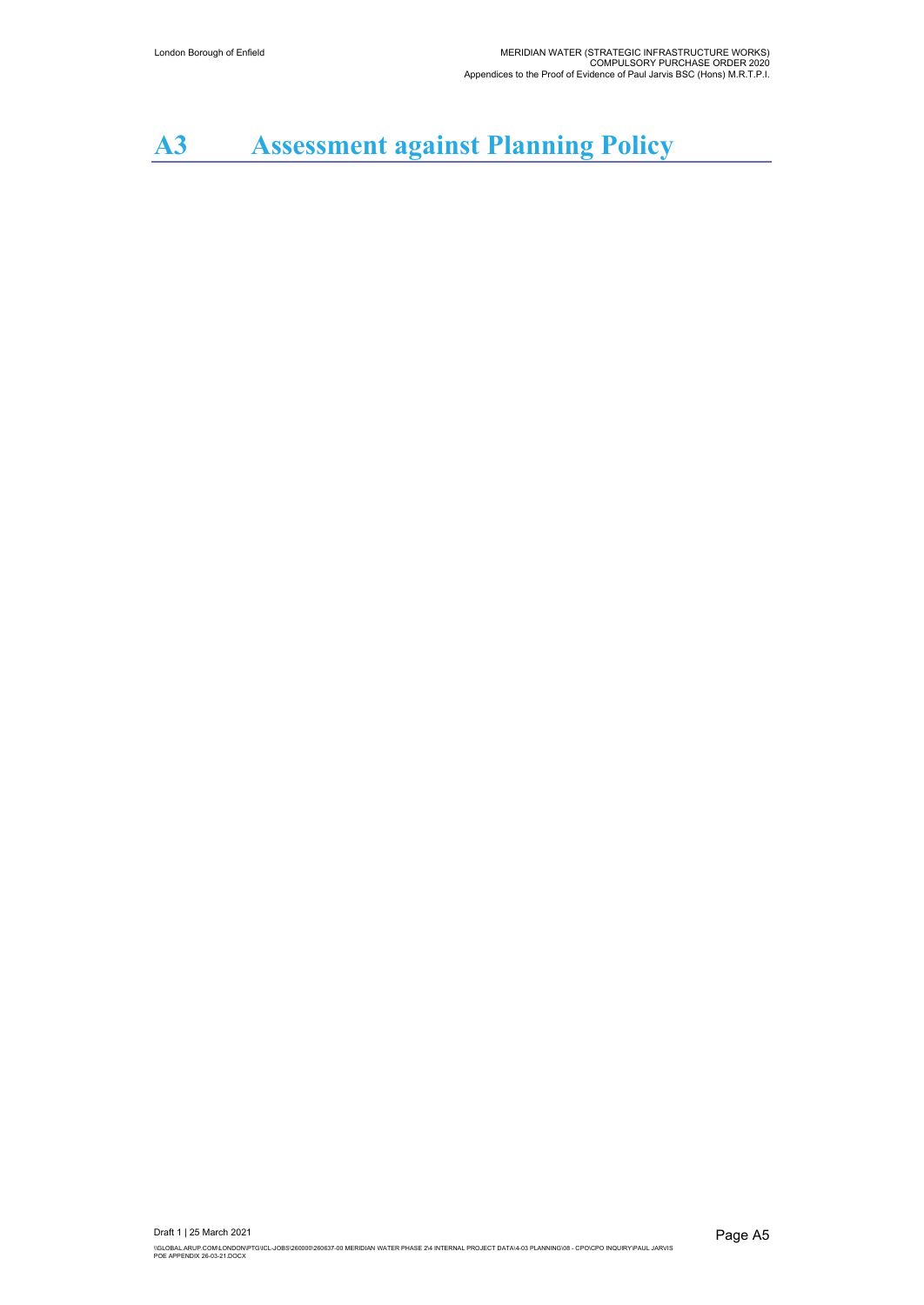# **A3 Assessment against Planning Policy**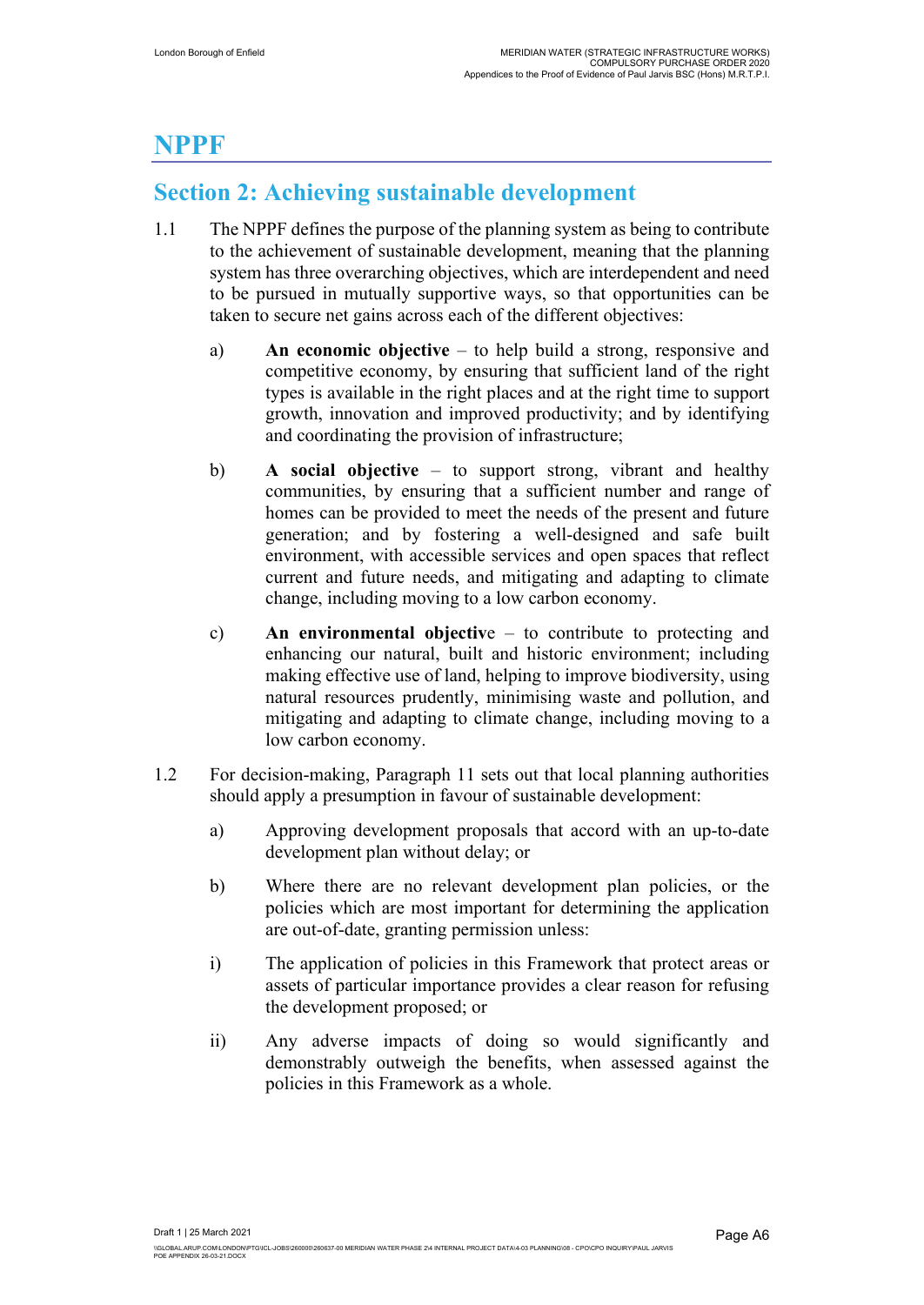## **NPPF**

## **Section 2: Achieving sustainable development**

- 1.1 The NPPF defines the purpose of the planning system as being to contribute to the achievement of sustainable development, meaning that the planning system has three overarching objectives, which are interdependent and need to be pursued in mutually supportive ways, so that opportunities can be taken to secure net gains across each of the different objectives:
	- a) **An economic objective** to help build a strong, responsive and competitive economy, by ensuring that sufficient land of the right types is available in the right places and at the right time to support growth, innovation and improved productivity; and by identifying and coordinating the provision of infrastructure;
	- b) **A social objective** to support strong, vibrant and healthy communities, by ensuring that a sufficient number and range of homes can be provided to meet the needs of the present and future generation; and by fostering a well-designed and safe built environment, with accessible services and open spaces that reflect current and future needs, and mitigating and adapting to climate change, including moving to a low carbon economy.
	- c) **An environmental objectiv**e to contribute to protecting and enhancing our natural, built and historic environment; including making effective use of land, helping to improve biodiversity, using natural resources prudently, minimising waste and pollution, and mitigating and adapting to climate change, including moving to a low carbon economy.
- 1.2 For decision-making, Paragraph 11 sets out that local planning authorities should apply a presumption in favour of sustainable development:
	- a) Approving development proposals that accord with an up-to-date development plan without delay; or
	- b) Where there are no relevant development plan policies, or the policies which are most important for determining the application are out-of-date, granting permission unless:
	- i) The application of policies in this Framework that protect areas or assets of particular importance provides a clear reason for refusing the development proposed; or
	- ii) Any adverse impacts of doing so would significantly and demonstrably outweigh the benefits, when assessed against the policies in this Framework as a whole.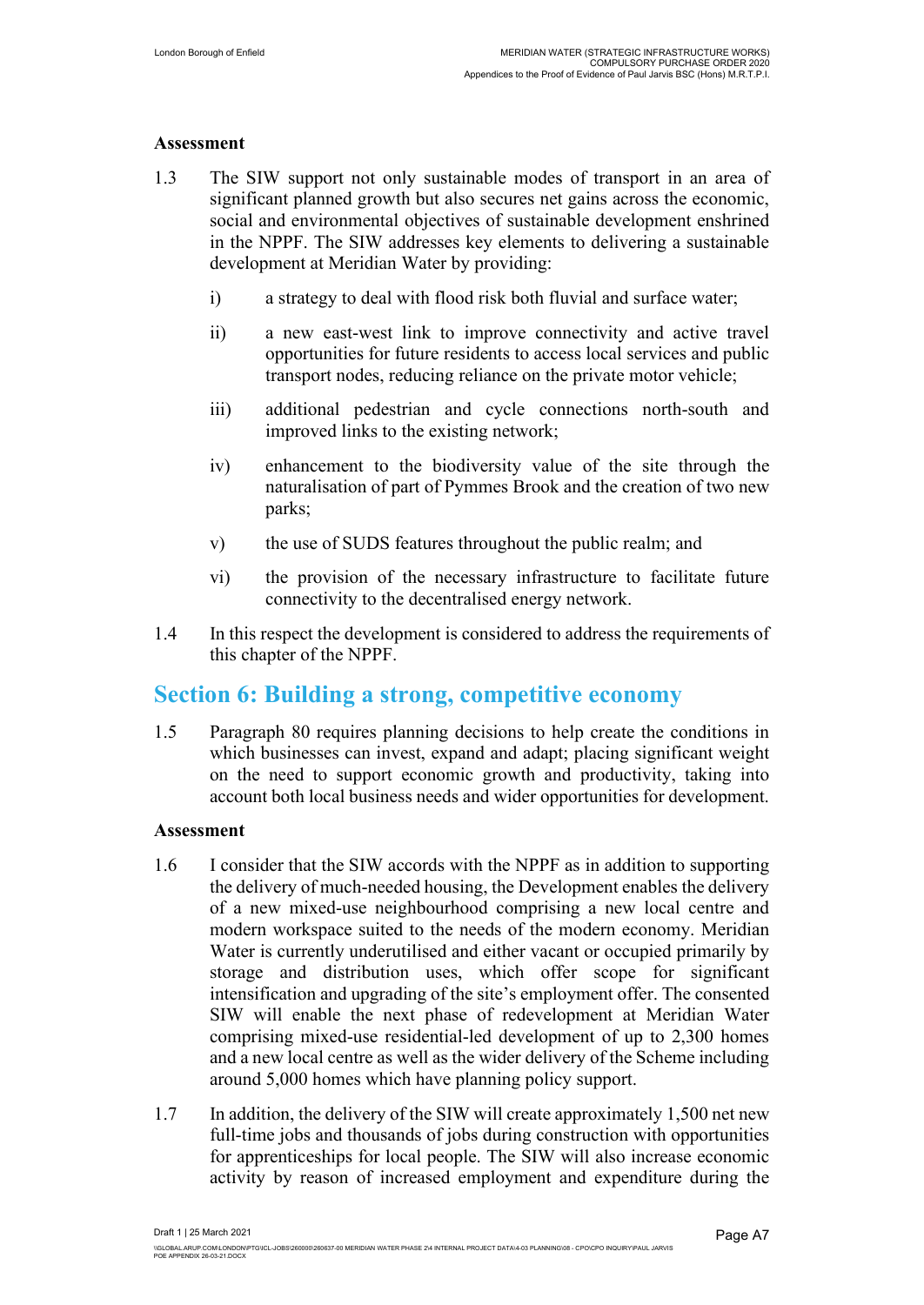#### **Assessment**

- 1.3 The SIW support not only sustainable modes of transport in an area of significant planned growth but also secures net gains across the economic, social and environmental objectives of sustainable development enshrined in the NPPF. The SIW addresses key elements to delivering a sustainable development at Meridian Water by providing:
	- i) a strategy to deal with flood risk both fluvial and surface water;
	- ii) a new east-west link to improve connectivity and active travel opportunities for future residents to access local services and public transport nodes, reducing reliance on the private motor vehicle;
	- iii) additional pedestrian and cycle connections north-south and improved links to the existing network;
	- iv) enhancement to the biodiversity value of the site through the naturalisation of part of Pymmes Brook and the creation of two new parks;
	- v) the use of SUDS features throughout the public realm; and
	- vi) the provision of the necessary infrastructure to facilitate future connectivity to the decentralised energy network.
- 1.4 In this respect the development is considered to address the requirements of this chapter of the NPPF.

### **Section 6: Building a strong, competitive economy**

1.5 Paragraph 80 requires planning decisions to help create the conditions in which businesses can invest, expand and adapt; placing significant weight on the need to support economic growth and productivity, taking into account both local business needs and wider opportunities for development.

#### **Assessment**

- 1.6 I consider that the SIW accords with the NPPF as in addition to supporting the delivery of much-needed housing, the Development enables the delivery of a new mixed-use neighbourhood comprising a new local centre and modern workspace suited to the needs of the modern economy. Meridian Water is currently underutilised and either vacant or occupied primarily by storage and distribution uses, which offer scope for significant intensification and upgrading of the site's employment offer. The consented SIW will enable the next phase of redevelopment at Meridian Water comprising mixed-use residential-led development of up to 2,300 homes and a new local centre as well as the wider delivery of the Scheme including around 5,000 homes which have planning policy support.
- 1.7 In addition, the delivery of the SIW will create approximately 1,500 net new full-time jobs and thousands of jobs during construction with opportunities for apprenticeships for local people. The SIW will also increase economic activity by reason of increased employment and expenditure during the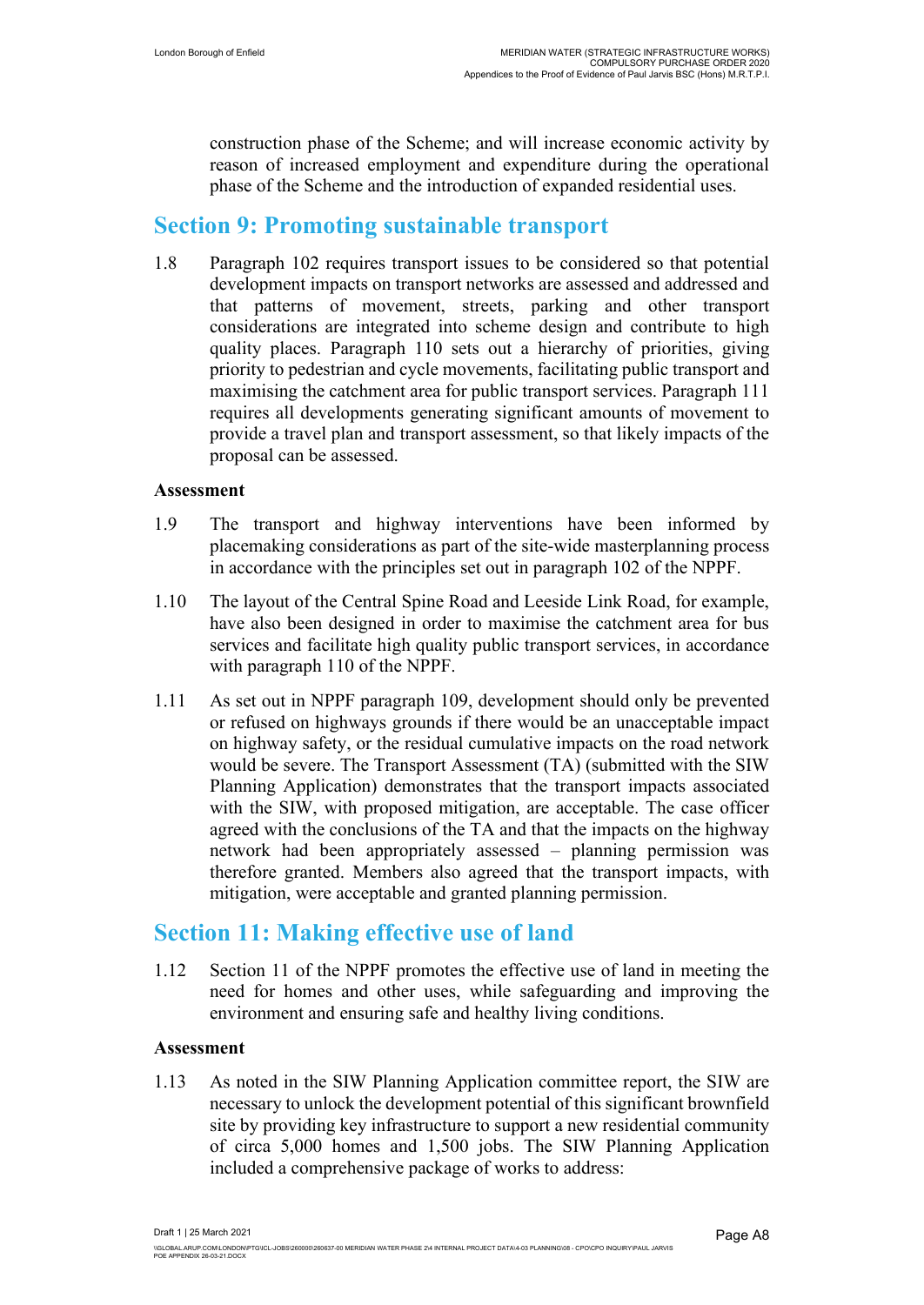construction phase of the Scheme; and will increase economic activity by reason of increased employment and expenditure during the operational phase of the Scheme and the introduction of expanded residential uses.

### **Section 9: Promoting sustainable transport**

1.8 Paragraph 102 requires transport issues to be considered so that potential development impacts on transport networks are assessed and addressed and that patterns of movement, streets, parking and other transport considerations are integrated into scheme design and contribute to high quality places. Paragraph 110 sets out a hierarchy of priorities, giving priority to pedestrian and cycle movements, facilitating public transport and maximising the catchment area for public transport services. Paragraph 111 requires all developments generating significant amounts of movement to provide a travel plan and transport assessment, so that likely impacts of the proposal can be assessed.

#### **Assessment**

- 1.9 The transport and highway interventions have been informed by placemaking considerations as part of the site-wide masterplanning process in accordance with the principles set out in paragraph 102 of the NPPF.
- 1.10 The layout of the Central Spine Road and Leeside Link Road, for example, have also been designed in order to maximise the catchment area for bus services and facilitate high quality public transport services, in accordance with paragraph 110 of the NPPF.
- 1.11 As set out in NPPF paragraph 109, development should only be prevented or refused on highways grounds if there would be an unacceptable impact on highway safety, or the residual cumulative impacts on the road network would be severe. The Transport Assessment (TA) (submitted with the SIW Planning Application) demonstrates that the transport impacts associated with the SIW, with proposed mitigation, are acceptable. The case officer agreed with the conclusions of the TA and that the impacts on the highway network had been appropriately assessed – planning permission was therefore granted. Members also agreed that the transport impacts, with mitigation, were acceptable and granted planning permission.

### **Section 11: Making effective use of land**

1.12 Section 11 of the NPPF promotes the effective use of land in meeting the need for homes and other uses, while safeguarding and improving the environment and ensuring safe and healthy living conditions.

#### **Assessment**

1.13 As noted in the SIW Planning Application committee report, the SIW are necessary to unlock the development potential of this significant brownfield site by providing key infrastructure to support a new residential community of circa 5,000 homes and 1,500 jobs. The SIW Planning Application included a comprehensive package of works to address: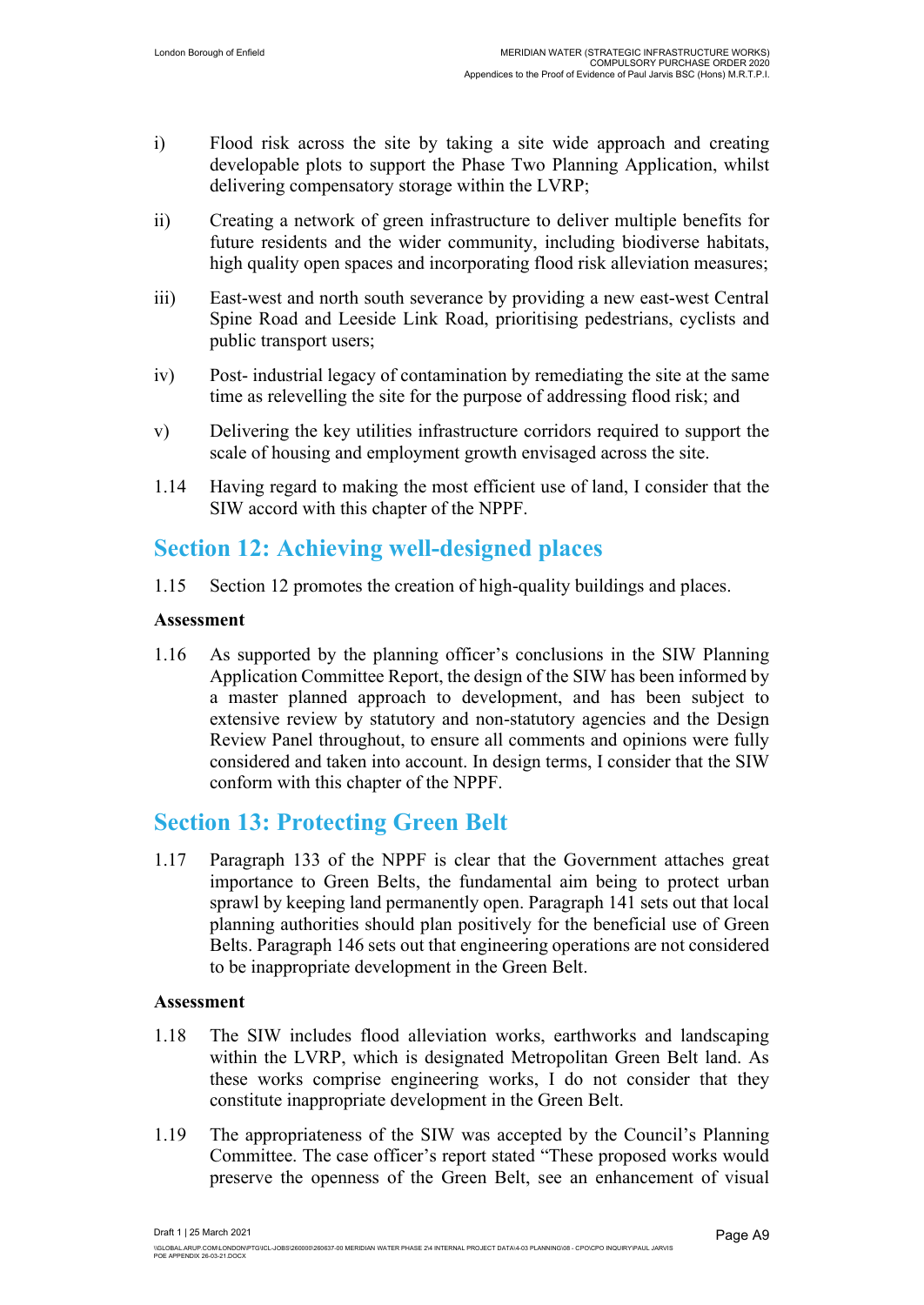- i) Flood risk across the site by taking a site wide approach and creating developable plots to support the Phase Two Planning Application, whilst delivering compensatory storage within the LVRP;
- ii) Creating a network of green infrastructure to deliver multiple benefits for future residents and the wider community, including biodiverse habitats, high quality open spaces and incorporating flood risk alleviation measures;
- iii) East-west and north south severance by providing a new east-west Central Spine Road and Leeside Link Road, prioritising pedestrians, cyclists and public transport users;
- iv) Post- industrial legacy of contamination by remediating the site at the same time as relevelling the site for the purpose of addressing flood risk; and
- v) Delivering the key utilities infrastructure corridors required to support the scale of housing and employment growth envisaged across the site.
- 1.14 Having regard to making the most efficient use of land, I consider that the SIW accord with this chapter of the NPPF.

### **Section 12: Achieving well-designed places**

1.15 Section 12 promotes the creation of high-quality buildings and places.

### **Assessment**

1.16 As supported by the planning officer's conclusions in the SIW Planning Application Committee Report, the design of the SIW has been informed by a master planned approach to development, and has been subject to extensive review by statutory and non-statutory agencies and the Design Review Panel throughout, to ensure all comments and opinions were fully considered and taken into account. In design terms, I consider that the SIW conform with this chapter of the NPPF.

### **Section 13: Protecting Green Belt**

1.17 Paragraph 133 of the NPPF is clear that the Government attaches great importance to Green Belts, the fundamental aim being to protect urban sprawl by keeping land permanently open. Paragraph 141 sets out that local planning authorities should plan positively for the beneficial use of Green Belts. Paragraph 146 sets out that engineering operations are not considered to be inappropriate development in the Green Belt.

#### **Assessment**

- 1.18 The SIW includes flood alleviation works, earthworks and landscaping within the LVRP, which is designated Metropolitan Green Belt land. As these works comprise engineering works, I do not consider that they constitute inappropriate development in the Green Belt.
- 1.19 The appropriateness of the SIW was accepted by the Council's Planning Committee. The case officer's report stated "These proposed works would preserve the openness of the Green Belt, see an enhancement of visual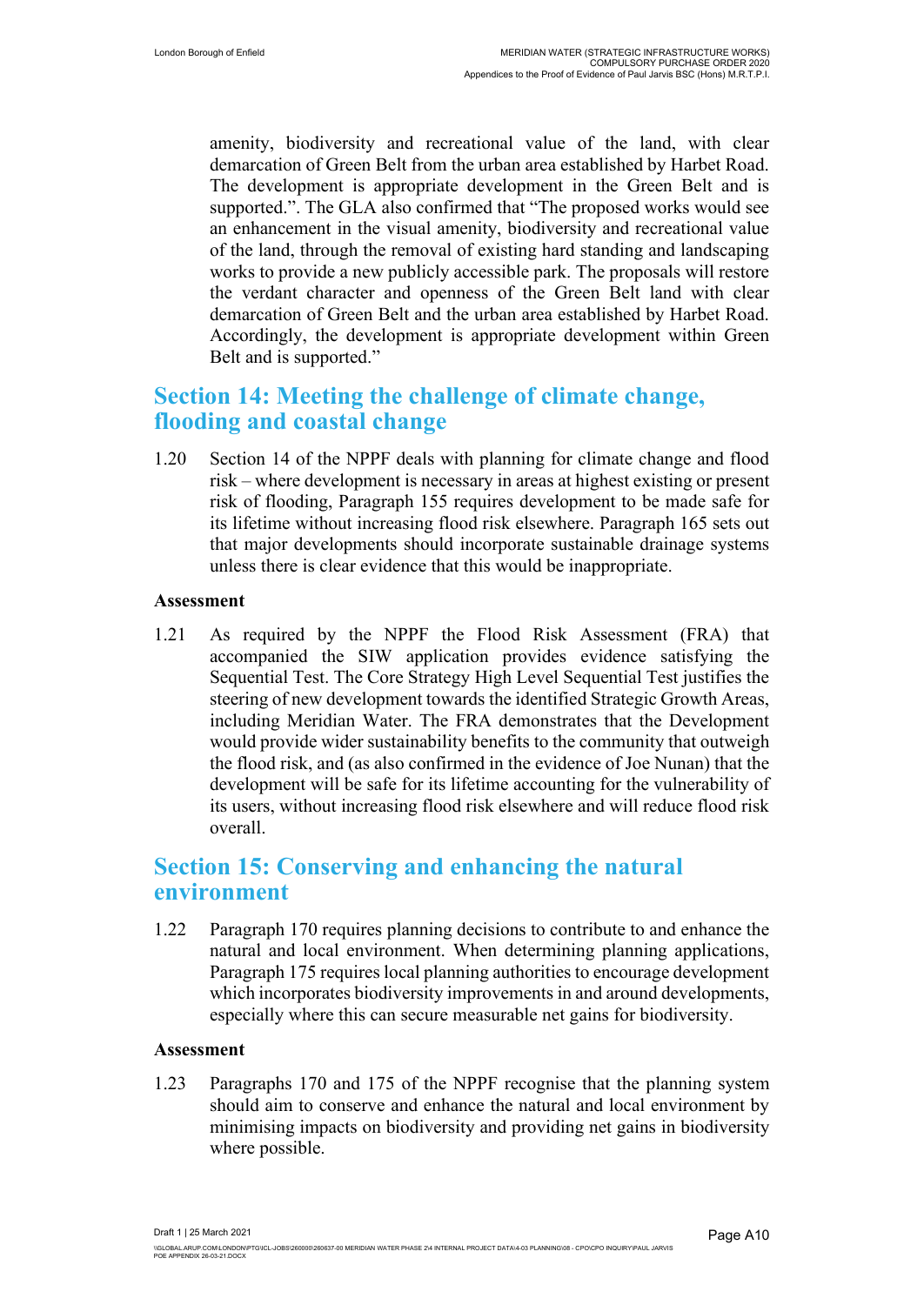amenity, biodiversity and recreational value of the land, with clear demarcation of Green Belt from the urban area established by Harbet Road. The development is appropriate development in the Green Belt and is supported.". The GLA also confirmed that "The proposed works would see an enhancement in the visual amenity, biodiversity and recreational value of the land, through the removal of existing hard standing and landscaping works to provide a new publicly accessible park. The proposals will restore the verdant character and openness of the Green Belt land with clear demarcation of Green Belt and the urban area established by Harbet Road. Accordingly, the development is appropriate development within Green Belt and is supported."

### **Section 14: Meeting the challenge of climate change, flooding and coastal change**

1.20 Section 14 of the NPPF deals with planning for climate change and flood risk – where development is necessary in areas at highest existing or present risk of flooding, Paragraph 155 requires development to be made safe for its lifetime without increasing flood risk elsewhere. Paragraph 165 sets out that major developments should incorporate sustainable drainage systems unless there is clear evidence that this would be inappropriate.

#### **Assessment**

1.21 As required by the NPPF the Flood Risk Assessment (FRA) that accompanied the SIW application provides evidence satisfying the Sequential Test. The Core Strategy High Level Sequential Test justifies the steering of new development towards the identified Strategic Growth Areas, including Meridian Water. The FRA demonstrates that the Development would provide wider sustainability benefits to the community that outweigh the flood risk, and (as also confirmed in the evidence of Joe Nunan) that the development will be safe for its lifetime accounting for the vulnerability of its users, without increasing flood risk elsewhere and will reduce flood risk overall.

### **Section 15: Conserving and enhancing the natural environment**

1.22 Paragraph 170 requires planning decisions to contribute to and enhance the natural and local environment. When determining planning applications, Paragraph 175 requires local planning authorities to encourage development which incorporates biodiversity improvements in and around developments, especially where this can secure measurable net gains for biodiversity.

#### **Assessment**

1.23 Paragraphs 170 and 175 of the NPPF recognise that the planning system should aim to conserve and enhance the natural and local environment by minimising impacts on biodiversity and providing net gains in biodiversity where possible.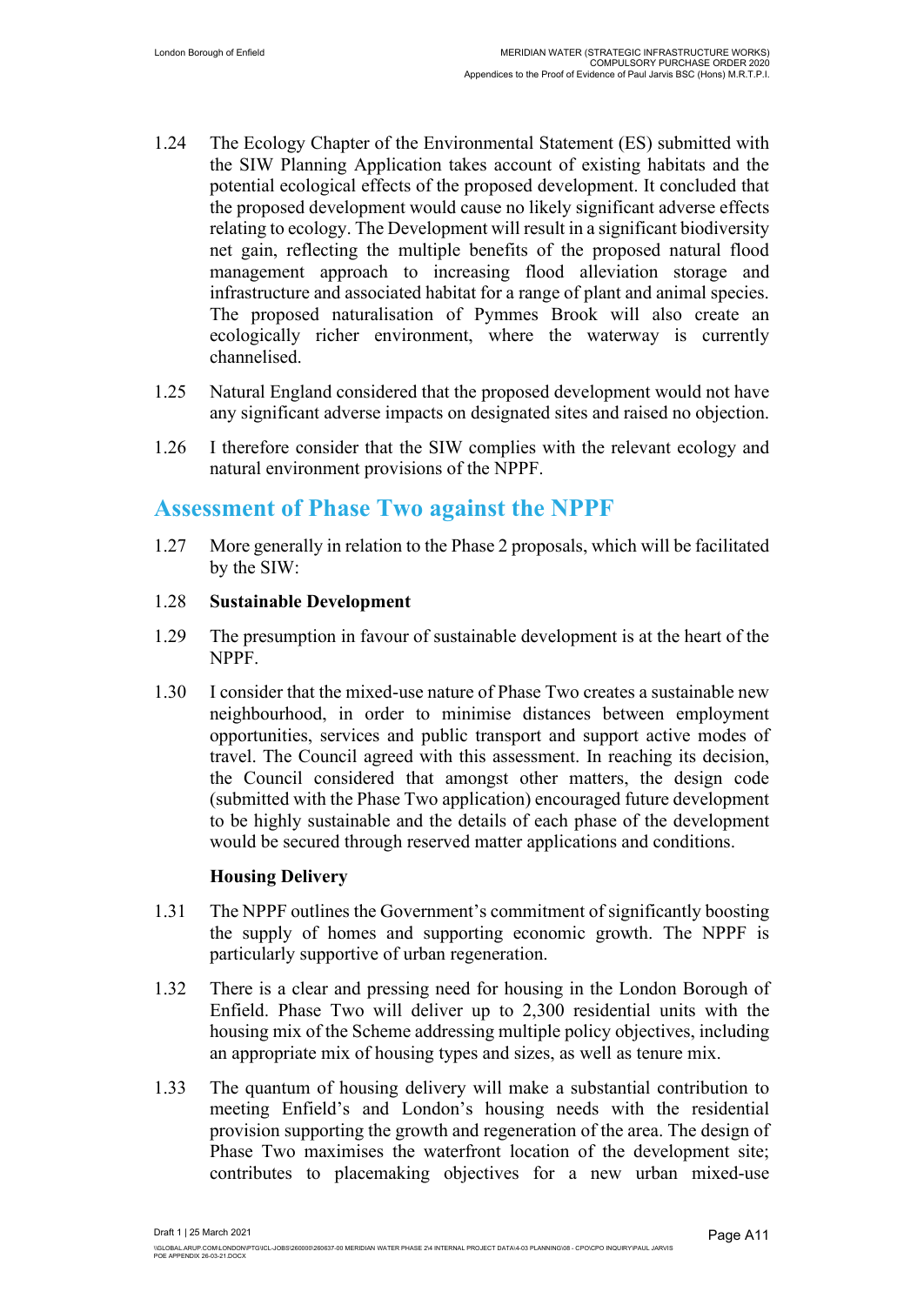- 1.24 The Ecology Chapter of the Environmental Statement (ES) submitted with the SIW Planning Application takes account of existing habitats and the potential ecological effects of the proposed development. It concluded that the proposed development would cause no likely significant adverse effects relating to ecology. The Development will result in a significant biodiversity net gain, reflecting the multiple benefits of the proposed natural flood management approach to increasing flood alleviation storage and infrastructure and associated habitat for a range of plant and animal species. The proposed naturalisation of Pymmes Brook will also create an ecologically richer environment, where the waterway is currently channelised.
- 1.25 Natural England considered that the proposed development would not have any significant adverse impacts on designated sites and raised no objection.
- 1.26 I therefore consider that the SIW complies with the relevant ecology and natural environment provisions of the NPPF.

### **Assessment of Phase Two against the NPPF**

1.27 More generally in relation to the Phase 2 proposals, which will be facilitated by the SIW:

### 1.28 **Sustainable Development**

- 1.29 The presumption in favour of sustainable development is at the heart of the NPPF.
- 1.30 I consider that the mixed-use nature of Phase Two creates a sustainable new neighbourhood, in order to minimise distances between employment opportunities, services and public transport and support active modes of travel. The Council agreed with this assessment. In reaching its decision, the Council considered that amongst other matters, the design code (submitted with the Phase Two application) encouraged future development to be highly sustainable and the details of each phase of the development would be secured through reserved matter applications and conditions.

### **Housing Delivery**

- 1.31 The NPPF outlines the Government's commitment of significantly boosting the supply of homes and supporting economic growth. The NPPF is particularly supportive of urban regeneration.
- 1.32 There is a clear and pressing need for housing in the London Borough of Enfield. Phase Two will deliver up to 2,300 residential units with the housing mix of the Scheme addressing multiple policy objectives, including an appropriate mix of housing types and sizes, as well as tenure mix.
- 1.33 The quantum of housing delivery will make a substantial contribution to meeting Enfield's and London's housing needs with the residential provision supporting the growth and regeneration of the area. The design of Phase Two maximises the waterfront location of the development site; contributes to placemaking objectives for a new urban mixed-use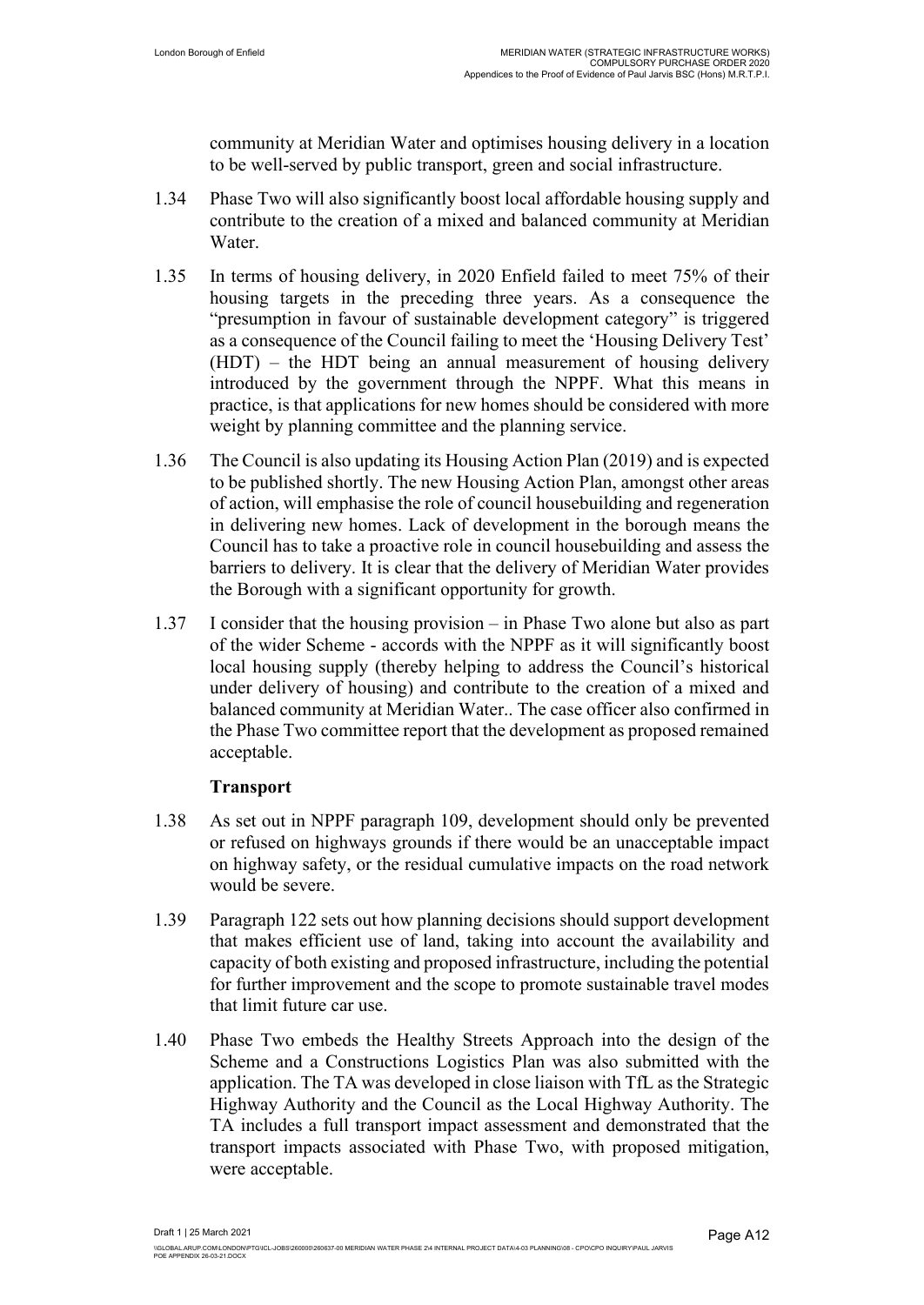community at Meridian Water and optimises housing delivery in a location to be well-served by public transport, green and social infrastructure.

- 1.34 Phase Two will also significantly boost local affordable housing supply and contribute to the creation of a mixed and balanced community at Meridian Water.
- 1.35 In terms of housing delivery, in 2020 Enfield failed to meet 75% of their housing targets in the preceding three years. As a consequence the "presumption in favour of sustainable development category" is triggered as a consequence of the Council failing to meet the 'Housing Delivery Test' (HDT) – the HDT being an annual measurement of housing delivery introduced by the government through the NPPF. What this means in practice, is that applications for new homes should be considered with more weight by planning committee and the planning service.
- 1.36 The Council is also updating its Housing Action Plan (2019) and is expected to be published shortly. The new Housing Action Plan, amongst other areas of action, will emphasise the role of council housebuilding and regeneration in delivering new homes. Lack of development in the borough means the Council has to take a proactive role in council housebuilding and assess the barriers to delivery. It is clear that the delivery of Meridian Water provides the Borough with a significant opportunity for growth.
- 1.37 I consider that the housing provision in Phase Two alone but also as part of the wider Scheme - accords with the NPPF as it will significantly boost local housing supply (thereby helping to address the Council's historical under delivery of housing) and contribute to the creation of a mixed and balanced community at Meridian Water.. The case officer also confirmed in the Phase Two committee report that the development as proposed remained acceptable.

### **Transport**

- 1.38 As set out in NPPF paragraph 109, development should only be prevented or refused on highways grounds if there would be an unacceptable impact on highway safety, or the residual cumulative impacts on the road network would be severe.
- 1.39 Paragraph 122 sets out how planning decisions should support development that makes efficient use of land, taking into account the availability and capacity of both existing and proposed infrastructure, including the potential for further improvement and the scope to promote sustainable travel modes that limit future car use.
- 1.40 Phase Two embeds the Healthy Streets Approach into the design of the Scheme and a Constructions Logistics Plan was also submitted with the application. The TA was developed in close liaison with TfL as the Strategic Highway Authority and the Council as the Local Highway Authority. The TA includes a full transport impact assessment and demonstrated that the transport impacts associated with Phase Two, with proposed mitigation, were acceptable.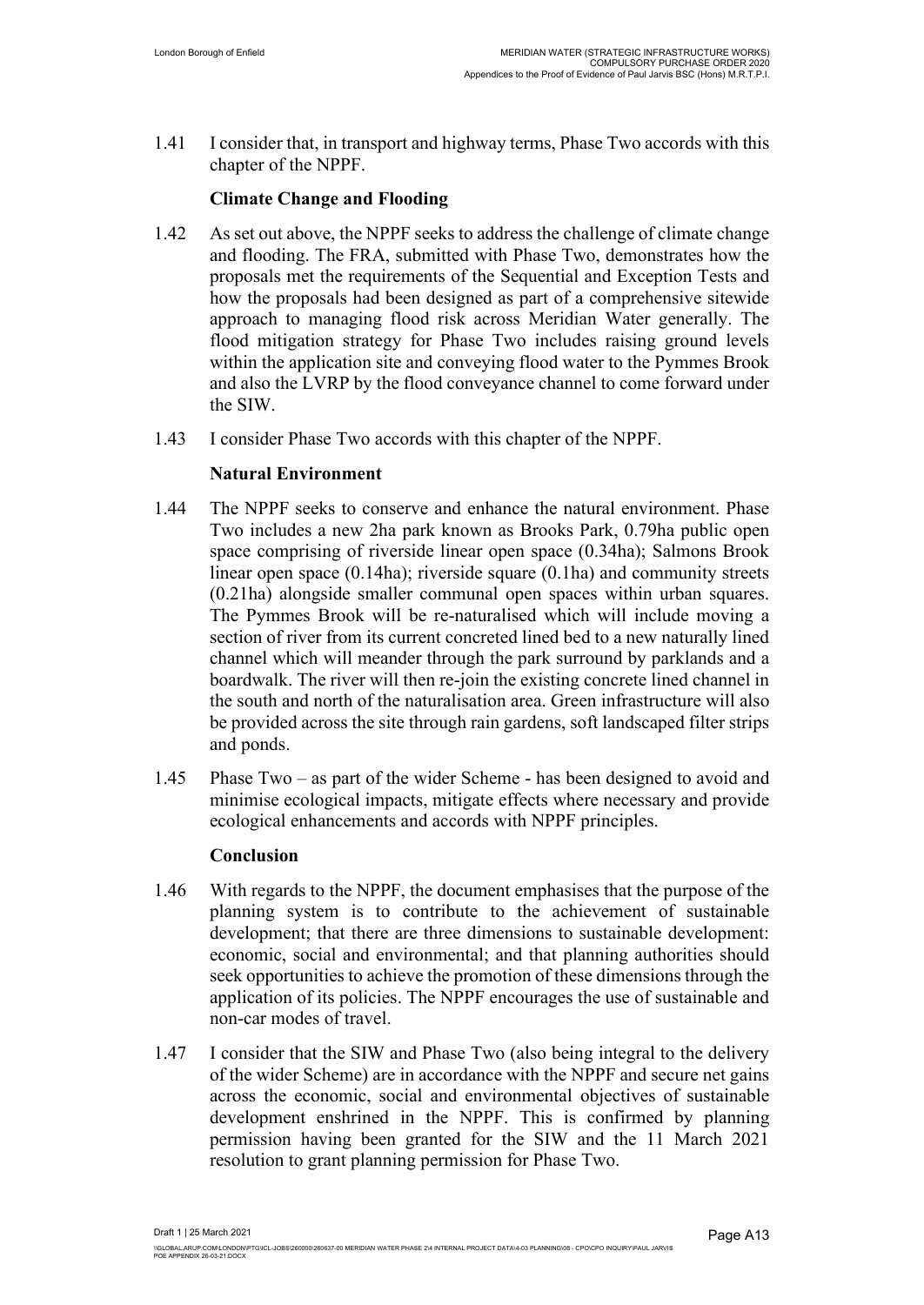1.41 I consider that, in transport and highway terms, Phase Two accords with this chapter of the NPPF.

### **Climate Change and Flooding**

- 1.42 As set out above, the NPPF seeks to address the challenge of climate change and flooding. The FRA, submitted with Phase Two, demonstrates how the proposals met the requirements of the Sequential and Exception Tests and how the proposals had been designed as part of a comprehensive sitewide approach to managing flood risk across Meridian Water generally. The flood mitigation strategy for Phase Two includes raising ground levels within the application site and conveying flood water to the Pymmes Brook and also the LVRP by the flood conveyance channel to come forward under the SIW.
- 1.43 I consider Phase Two accords with this chapter of the NPPF.

### **Natural Environment**

- 1.44 The NPPF seeks to conserve and enhance the natural environment. Phase Two includes a new 2ha park known as Brooks Park, 0.79ha public open space comprising of riverside linear open space (0.34ha); Salmons Brook linear open space (0.14ha); riverside square (0.1ha) and community streets (0.21ha) alongside smaller communal open spaces within urban squares. The Pymmes Brook will be re-naturalised which will include moving a section of river from its current concreted lined bed to a new naturally lined channel which will meander through the park surround by parklands and a boardwalk. The river will then re-join the existing concrete lined channel in the south and north of the naturalisation area. Green infrastructure will also be provided across the site through rain gardens, soft landscaped filter strips and ponds.
- 1.45 Phase Two as part of the wider Scheme has been designed to avoid and minimise ecological impacts, mitigate effects where necessary and provide ecological enhancements and accords with NPPF principles.

#### **Conclusion**

- 1.46 With regards to the NPPF, the document emphasises that the purpose of the planning system is to contribute to the achievement of sustainable development; that there are three dimensions to sustainable development: economic, social and environmental; and that planning authorities should seek opportunities to achieve the promotion of these dimensions through the application of its policies. The NPPF encourages the use of sustainable and non-car modes of travel.
- 1.47 I consider that the SIW and Phase Two (also being integral to the delivery of the wider Scheme) are in accordance with the NPPF and secure net gains across the economic, social and environmental objectives of sustainable development enshrined in the NPPF. This is confirmed by planning permission having been granted for the SIW and the 11 March 2021 resolution to grant planning permission for Phase Two.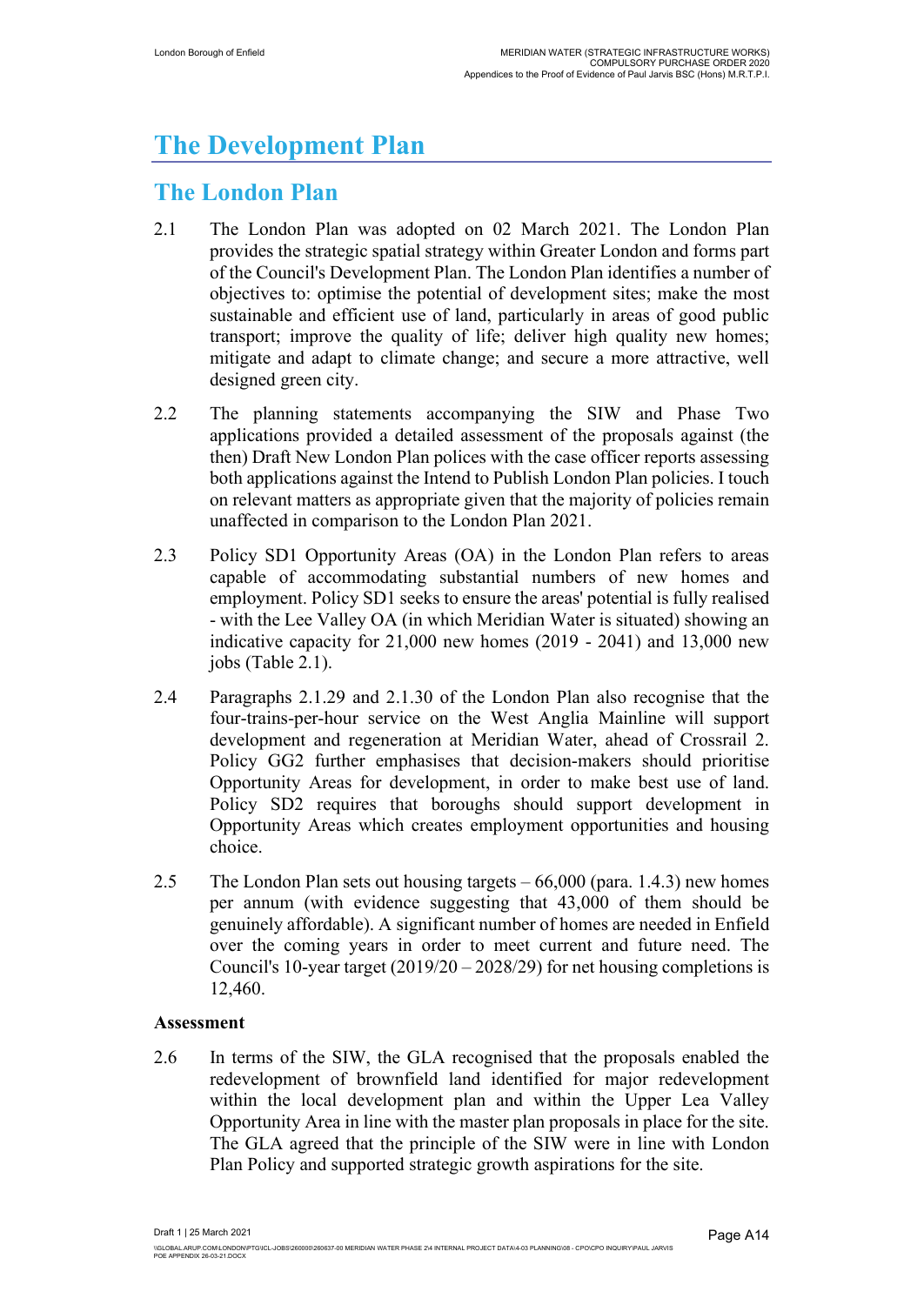# **The Development Plan**

## **The London Plan**

- 2.1 The London Plan was adopted on 02 March 2021. The London Plan provides the strategic spatial strategy within Greater London and forms part of the Council's Development Plan. The London Plan identifies a number of objectives to: optimise the potential of development sites; make the most sustainable and efficient use of land, particularly in areas of good public transport; improve the quality of life; deliver high quality new homes; mitigate and adapt to climate change; and secure a more attractive, well designed green city.
- 2.2 The planning statements accompanying the SIW and Phase Two applications provided a detailed assessment of the proposals against (the then) Draft New London Plan polices with the case officer reports assessing both applications against the Intend to Publish London Plan policies. I touch on relevant matters as appropriate given that the majority of policies remain unaffected in comparison to the London Plan 2021.
- 2.3 Policy SD1 Opportunity Areas (OA) in the London Plan refers to areas capable of accommodating substantial numbers of new homes and employment. Policy SD1 seeks to ensure the areas' potential is fully realised - with the Lee Valley OA (in which Meridian Water is situated) showing an indicative capacity for 21,000 new homes (2019 - 2041) and 13,000 new jobs (Table 2.1).
- 2.4 Paragraphs 2.1.29 and 2.1.30 of the London Plan also recognise that the four-trains-per-hour service on the West Anglia Mainline will support development and regeneration at Meridian Water, ahead of Crossrail 2. Policy GG2 further emphasises that decision-makers should prioritise Opportunity Areas for development, in order to make best use of land. Policy SD2 requires that boroughs should support development in Opportunity Areas which creates employment opportunities and housing choice.
- 2.5 The London Plan sets out housing targets 66,000 (para. 1.4.3) new homes per annum (with evidence suggesting that 43,000 of them should be genuinely affordable). A significant number of homes are needed in Enfield over the coming years in order to meet current and future need. The Council's 10-year target (2019/20 – 2028/29) for net housing completions is 12,460.

### **Assessment**

2.6 In terms of the SIW, the GLA recognised that the proposals enabled the redevelopment of brownfield land identified for major redevelopment within the local development plan and within the Upper Lea Valley Opportunity Area in line with the master plan proposals in place for the site. The GLA agreed that the principle of the SIW were in line with London Plan Policy and supported strategic growth aspirations for the site.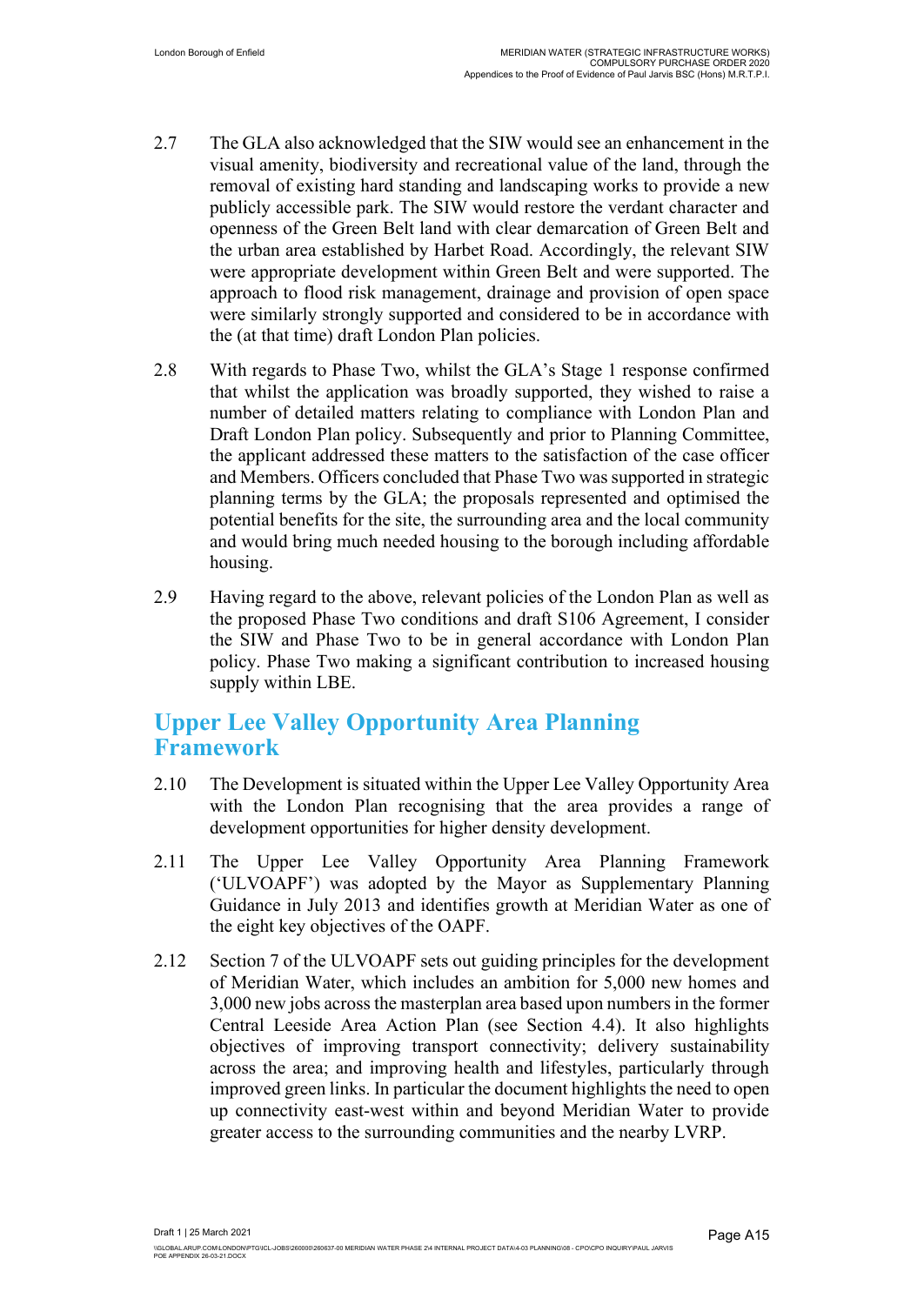- 2.7 The GLA also acknowledged that the SIW would see an enhancement in the visual amenity, biodiversity and recreational value of the land, through the removal of existing hard standing and landscaping works to provide a new publicly accessible park. The SIW would restore the verdant character and openness of the Green Belt land with clear demarcation of Green Belt and the urban area established by Harbet Road. Accordingly, the relevant SIW were appropriate development within Green Belt and were supported. The approach to flood risk management, drainage and provision of open space were similarly strongly supported and considered to be in accordance with the (at that time) draft London Plan policies.
- 2.8 With regards to Phase Two, whilst the GLA's Stage 1 response confirmed that whilst the application was broadly supported, they wished to raise a number of detailed matters relating to compliance with London Plan and Draft London Plan policy. Subsequently and prior to Planning Committee, the applicant addressed these matters to the satisfaction of the case officer and Members. Officers concluded that Phase Two was supported in strategic planning terms by the GLA; the proposals represented and optimised the potential benefits for the site, the surrounding area and the local community and would bring much needed housing to the borough including affordable housing.
- 2.9 Having regard to the above, relevant policies of the London Plan as well as the proposed Phase Two conditions and draft S106 Agreement, I consider the SIW and Phase Two to be in general accordance with London Plan policy. Phase Two making a significant contribution to increased housing supply within LBE.

### **Upper Lee Valley Opportunity Area Planning Framework**

- 2.10 The Development is situated within the Upper Lee Valley Opportunity Area with the London Plan recognising that the area provides a range of development opportunities for higher density development.
- 2.11 The Upper Lee Valley Opportunity Area Planning Framework ('ULVOAPF') was adopted by the Mayor as Supplementary Planning Guidance in July 2013 and identifies growth at Meridian Water as one of the eight key objectives of the OAPF.
- 2.12 Section 7 of the ULVOAPF sets out guiding principles for the development of Meridian Water, which includes an ambition for 5,000 new homes and 3,000 new jobs across the masterplan area based upon numbers in the former Central Leeside Area Action Plan (see Section 4.4). It also highlights objectives of improving transport connectivity; delivery sustainability across the area; and improving health and lifestyles, particularly through improved green links. In particular the document highlights the need to open up connectivity east-west within and beyond Meridian Water to provide greater access to the surrounding communities and the nearby LVRP.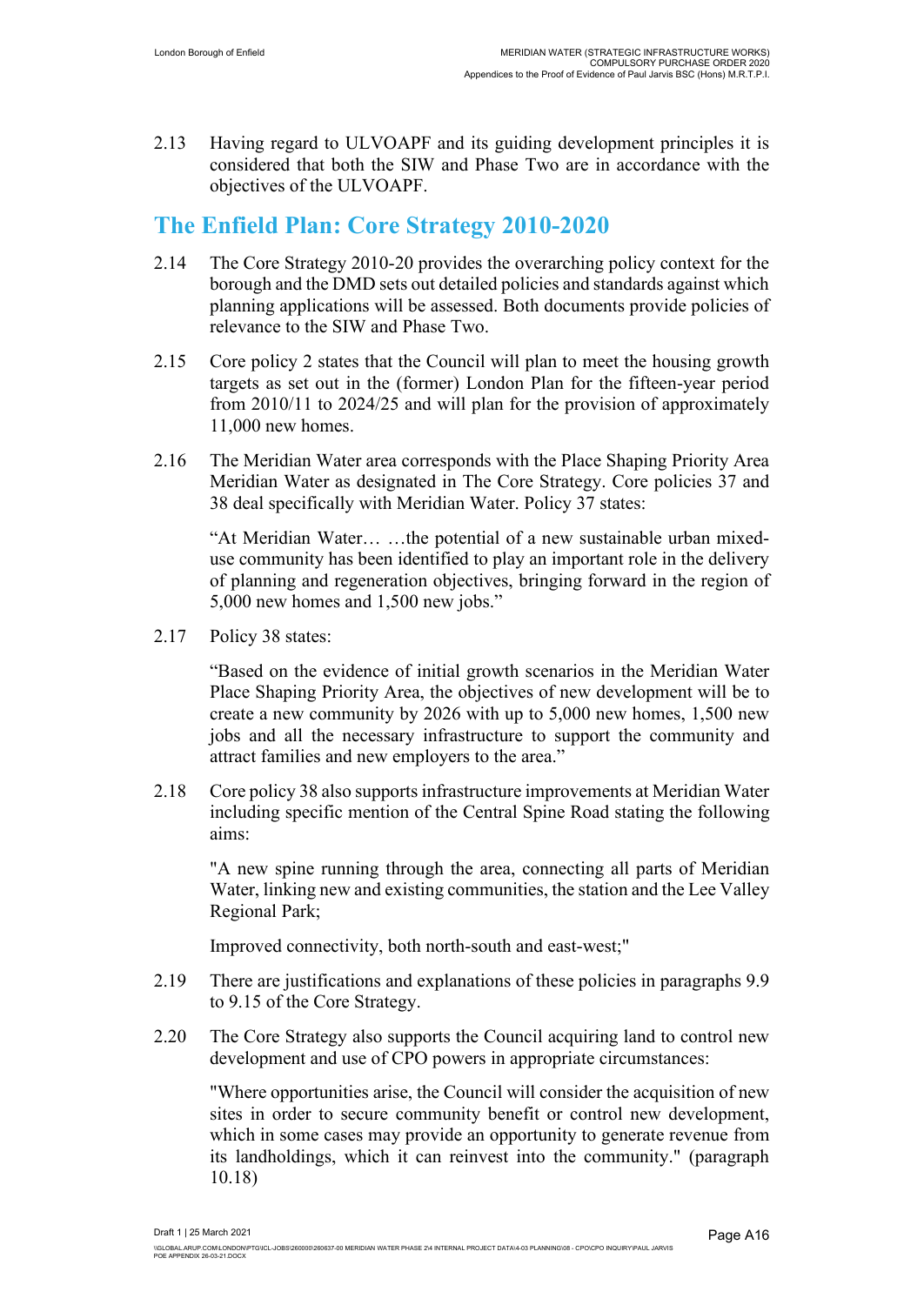2.13 Having regard to ULVOAPF and its guiding development principles it is considered that both the SIW and Phase Two are in accordance with the objectives of the ULVOAPF.

### **The Enfield Plan: Core Strategy 2010-2020**

- 2.14 The Core Strategy 2010-20 provides the overarching policy context for the borough and the DMD sets out detailed policies and standards against which planning applications will be assessed. Both documents provide policies of relevance to the SIW and Phase Two.
- 2.15 Core policy 2 states that the Council will plan to meet the housing growth targets as set out in the (former) London Plan for the fifteen-year period from 2010/11 to 2024/25 and will plan for the provision of approximately 11,000 new homes.
- 2.16 The Meridian Water area corresponds with the Place Shaping Priority Area Meridian Water as designated in The Core Strategy. Core policies 37 and 38 deal specifically with Meridian Water. Policy 37 states:

"At Meridian Water… …the potential of a new sustainable urban mixeduse community has been identified to play an important role in the delivery of planning and regeneration objectives, bringing forward in the region of 5,000 new homes and 1,500 new jobs."

2.17 Policy 38 states:

"Based on the evidence of initial growth scenarios in the Meridian Water Place Shaping Priority Area, the objectives of new development will be to create a new community by 2026 with up to 5,000 new homes, 1,500 new jobs and all the necessary infrastructure to support the community and attract families and new employers to the area."

2.18 Core policy 38 also supports infrastructure improvements at Meridian Water including specific mention of the Central Spine Road stating the following aims:

"A new spine running through the area, connecting all parts of Meridian Water, linking new and existing communities, the station and the Lee Valley Regional Park;

Improved connectivity, both north-south and east-west;"

- 2.19 There are justifications and explanations of these policies in paragraphs 9.9 to 9.15 of the Core Strategy.
- 2.20 The Core Strategy also supports the Council acquiring land to control new development and use of CPO powers in appropriate circumstances:

"Where opportunities arise, the Council will consider the acquisition of new sites in order to secure community benefit or control new development, which in some cases may provide an opportunity to generate revenue from its landholdings, which it can reinvest into the community." (paragraph 10.18)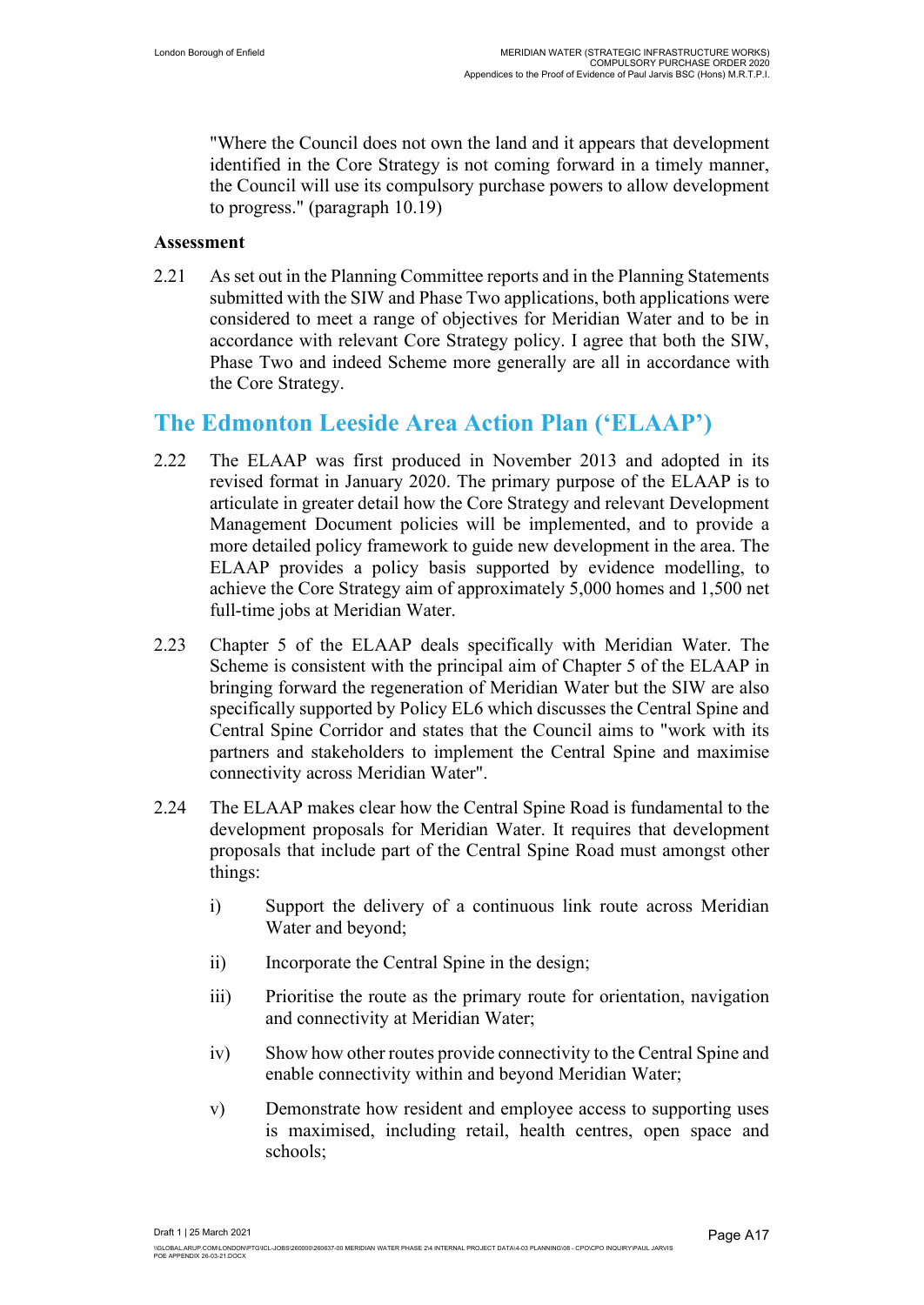"Where the Council does not own the land and it appears that development identified in the Core Strategy is not coming forward in a timely manner, the Council will use its compulsory purchase powers to allow development to progress." (paragraph 10.19)

#### **Assessment**

2.21 As set out in the Planning Committee reports and in the Planning Statements submitted with the SIW and Phase Two applications, both applications were considered to meet a range of objectives for Meridian Water and to be in accordance with relevant Core Strategy policy. I agree that both the SIW, Phase Two and indeed Scheme more generally are all in accordance with the Core Strategy.

### **The Edmonton Leeside Area Action Plan ('ELAAP')**

- 2.22 The ELAAP was first produced in November 2013 and adopted in its revised format in January 2020. The primary purpose of the ELAAP is to articulate in greater detail how the Core Strategy and relevant Development Management Document policies will be implemented, and to provide a more detailed policy framework to guide new development in the area. The ELAAP provides a policy basis supported by evidence modelling, to achieve the Core Strategy aim of approximately 5,000 homes and 1,500 net full-time jobs at Meridian Water.
- 2.23 Chapter 5 of the ELAAP deals specifically with Meridian Water. The Scheme is consistent with the principal aim of Chapter 5 of the ELAAP in bringing forward the regeneration of Meridian Water but the SIW are also specifically supported by Policy EL6 which discusses the Central Spine and Central Spine Corridor and states that the Council aims to "work with its partners and stakeholders to implement the Central Spine and maximise connectivity across Meridian Water".
- 2.24 The ELAAP makes clear how the Central Spine Road is fundamental to the development proposals for Meridian Water. It requires that development proposals that include part of the Central Spine Road must amongst other things:
	- i) Support the delivery of a continuous link route across Meridian Water and beyond;
	- ii) Incorporate the Central Spine in the design;
	- iii) Prioritise the route as the primary route for orientation, navigation and connectivity at Meridian Water;
	- iv) Show how other routes provide connectivity to the Central Spine and enable connectivity within and beyond Meridian Water;
	- v) Demonstrate how resident and employee access to supporting uses is maximised, including retail, health centres, open space and schools;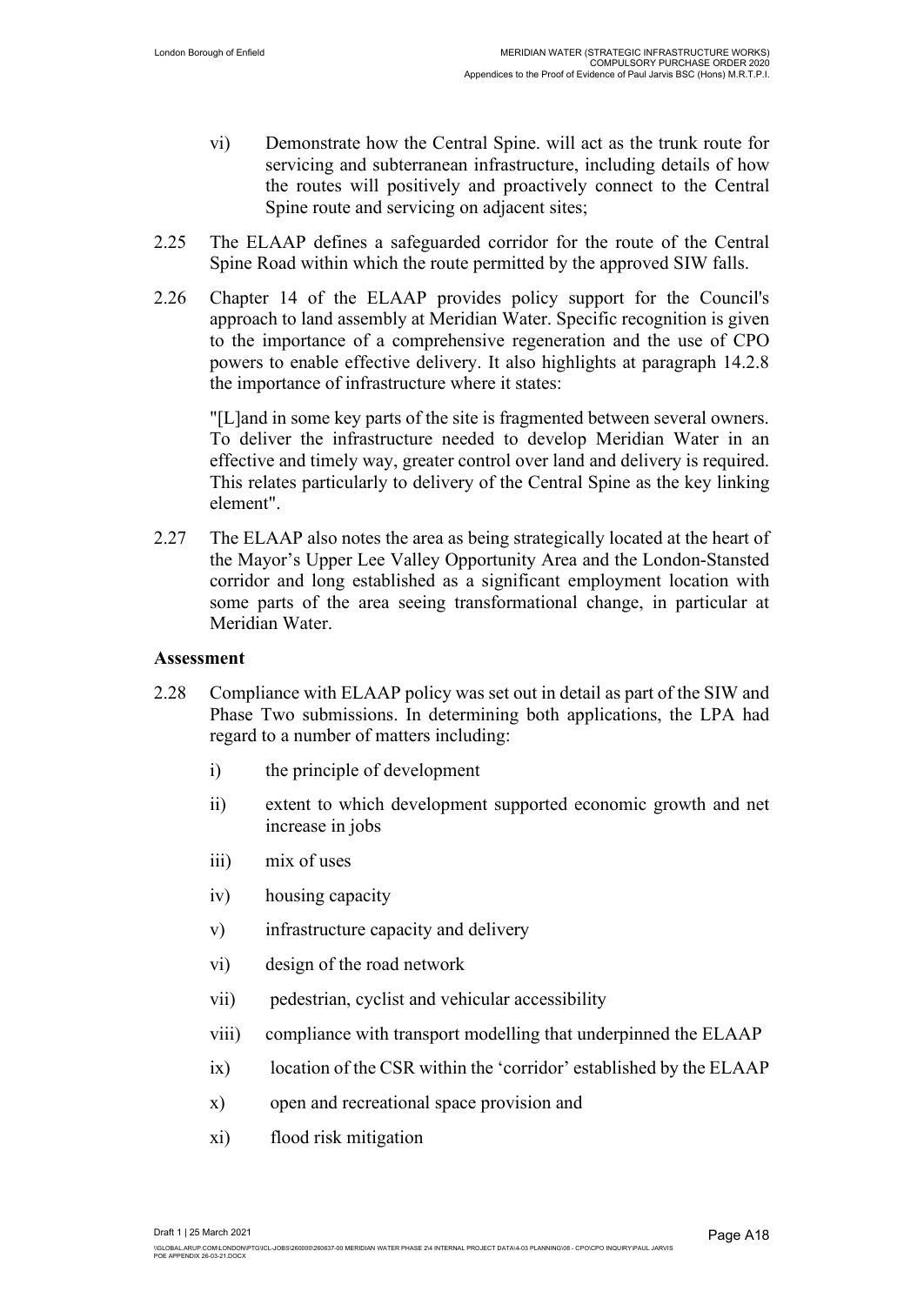- vi) Demonstrate how the Central Spine. will act as the trunk route for servicing and subterranean infrastructure, including details of how the routes will positively and proactively connect to the Central Spine route and servicing on adjacent sites;
- 2.25 The ELAAP defines a safeguarded corridor for the route of the Central Spine Road within which the route permitted by the approved SIW falls.
- 2.26 Chapter 14 of the ELAAP provides policy support for the Council's approach to land assembly at Meridian Water. Specific recognition is given to the importance of a comprehensive regeneration and the use of CPO powers to enable effective delivery. It also highlights at paragraph 14.2.8 the importance of infrastructure where it states:

"[L]and in some key parts of the site is fragmented between several owners. To deliver the infrastructure needed to develop Meridian Water in an effective and timely way, greater control over land and delivery is required. This relates particularly to delivery of the Central Spine as the key linking element".

2.27 The ELAAP also notes the area as being strategically located at the heart of the Mayor's Upper Lee Valley Opportunity Area and the London-Stansted corridor and long established as a significant employment location with some parts of the area seeing transformational change, in particular at Meridian Water.

#### **Assessment**

- 2.28 Compliance with ELAAP policy was set out in detail as part of the SIW and Phase Two submissions. In determining both applications, the LPA had regard to a number of matters including:
	- i) the principle of development
	- ii) extent to which development supported economic growth and net increase in jobs
	- iii) mix of uses
	- iv) housing capacity
	- v) infrastructure capacity and delivery
	- vi) design of the road network
	- vii) pedestrian, cyclist and vehicular accessibility
	- viii) compliance with transport modelling that underpinned the ELAAP
	- ix) location of the CSR within the 'corridor' established by the ELAAP
	- x) open and recreational space provision and
	- xi) flood risk mitigation